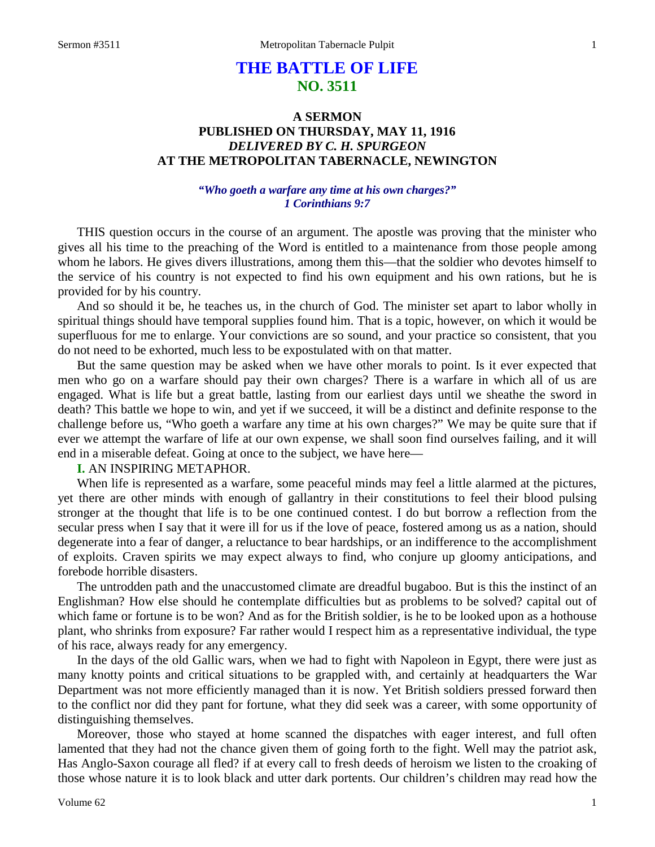# **THE BATTLE OF LIFE NO. 3511**

# **A SERMON PUBLISHED ON THURSDAY, MAY 11, 1916** *DELIVERED BY C. H. SPURGEON* **AT THE METROPOLITAN TABERNACLE, NEWINGTON**

## *"Who goeth a warfare any time at his own charges?" 1 Corinthians 9:7*

THIS question occurs in the course of an argument. The apostle was proving that the minister who gives all his time to the preaching of the Word is entitled to a maintenance from those people among whom he labors. He gives divers illustrations, among them this—that the soldier who devotes himself to the service of his country is not expected to find his own equipment and his own rations, but he is provided for by his country.

And so should it be, he teaches us, in the church of God. The minister set apart to labor wholly in spiritual things should have temporal supplies found him. That is a topic, however, on which it would be superfluous for me to enlarge. Your convictions are so sound, and your practice so consistent, that you do not need to be exhorted, much less to be expostulated with on that matter.

But the same question may be asked when we have other morals to point. Is it ever expected that men who go on a warfare should pay their own charges? There is a warfare in which all of us are engaged. What is life but a great battle, lasting from our earliest days until we sheathe the sword in death? This battle we hope to win, and yet if we succeed, it will be a distinct and definite response to the challenge before us, "Who goeth a warfare any time at his own charges?" We may be quite sure that if ever we attempt the warfare of life at our own expense, we shall soon find ourselves failing, and it will end in a miserable defeat. Going at once to the subject, we have here—

## **I.** AN INSPIRING METAPHOR.

When life is represented as a warfare, some peaceful minds may feel a little alarmed at the pictures, yet there are other minds with enough of gallantry in their constitutions to feel their blood pulsing stronger at the thought that life is to be one continued contest. I do but borrow a reflection from the secular press when I say that it were ill for us if the love of peace, fostered among us as a nation, should degenerate into a fear of danger, a reluctance to bear hardships, or an indifference to the accomplishment of exploits. Craven spirits we may expect always to find, who conjure up gloomy anticipations, and forebode horrible disasters.

The untrodden path and the unaccustomed climate are dreadful bugaboo. But is this the instinct of an Englishman? How else should he contemplate difficulties but as problems to be solved? capital out of which fame or fortune is to be won? And as for the British soldier, is he to be looked upon as a hothouse plant, who shrinks from exposure? Far rather would I respect him as a representative individual, the type of his race, always ready for any emergency.

In the days of the old Gallic wars, when we had to fight with Napoleon in Egypt, there were just as many knotty points and critical situations to be grappled with, and certainly at headquarters the War Department was not more efficiently managed than it is now. Yet British soldiers pressed forward then to the conflict nor did they pant for fortune, what they did seek was a career, with some opportunity of distinguishing themselves.

Moreover, those who stayed at home scanned the dispatches with eager interest, and full often lamented that they had not the chance given them of going forth to the fight. Well may the patriot ask, Has Anglo-Saxon courage all fled? if at every call to fresh deeds of heroism we listen to the croaking of those whose nature it is to look black and utter dark portents. Our children's children may read how the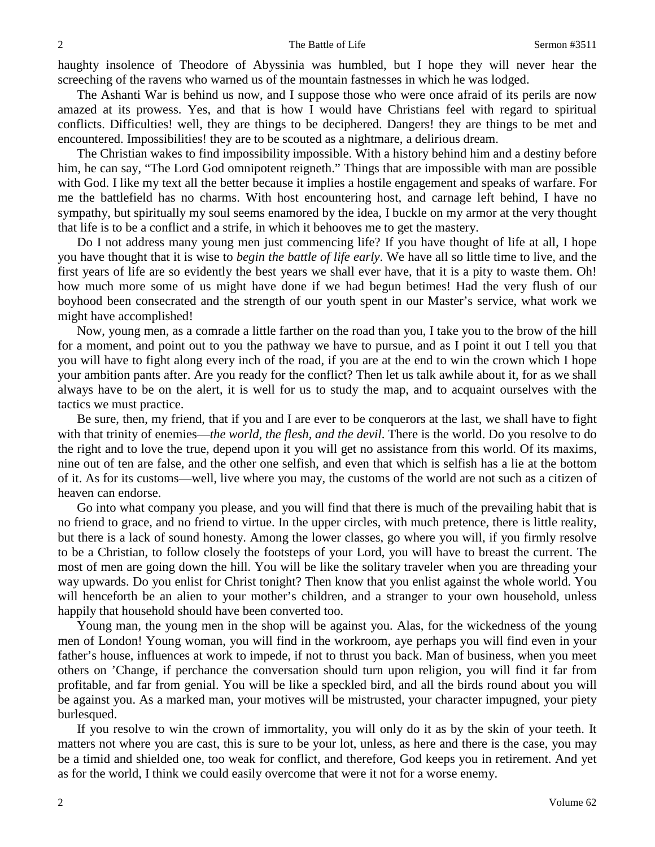haughty insolence of Theodore of Abyssinia was humbled, but I hope they will never hear the screeching of the ravens who warned us of the mountain fastnesses in which he was lodged.

The Ashanti War is behind us now, and I suppose those who were once afraid of its perils are now amazed at its prowess. Yes, and that is how I would have Christians feel with regard to spiritual conflicts. Difficulties! well, they are things to be deciphered. Dangers! they are things to be met and encountered. Impossibilities! they are to be scouted as a nightmare, a delirious dream.

The Christian wakes to find impossibility impossible. With a history behind him and a destiny before him, he can say, "The Lord God omnipotent reigneth." Things that are impossible with man are possible with God. I like my text all the better because it implies a hostile engagement and speaks of warfare. For me the battlefield has no charms. With host encountering host, and carnage left behind, I have no sympathy, but spiritually my soul seems enamored by the idea, I buckle on my armor at the very thought that life is to be a conflict and a strife, in which it behooves me to get the mastery.

Do I not address many young men just commencing life? If you have thought of life at all, I hope you have thought that it is wise to *begin the battle of life early*. We have all so little time to live, and the first years of life are so evidently the best years we shall ever have, that it is a pity to waste them. Oh! how much more some of us might have done if we had begun betimes! Had the very flush of our boyhood been consecrated and the strength of our youth spent in our Master's service, what work we might have accomplished!

Now, young men, as a comrade a little farther on the road than you, I take you to the brow of the hill for a moment, and point out to you the pathway we have to pursue, and as I point it out I tell you that you will have to fight along every inch of the road, if you are at the end to win the crown which I hope your ambition pants after. Are you ready for the conflict? Then let us talk awhile about it, for as we shall always have to be on the alert, it is well for us to study the map, and to acquaint ourselves with the tactics we must practice.

Be sure, then, my friend, that if you and I are ever to be conquerors at the last, we shall have to fight with that trinity of enemies—*the world, the flesh, and the devil*. There is the world. Do you resolve to do the right and to love the true, depend upon it you will get no assistance from this world. Of its maxims, nine out of ten are false, and the other one selfish, and even that which is selfish has a lie at the bottom of it. As for its customs—well, live where you may, the customs of the world are not such as a citizen of heaven can endorse.

Go into what company you please, and you will find that there is much of the prevailing habit that is no friend to grace, and no friend to virtue. In the upper circles, with much pretence, there is little reality, but there is a lack of sound honesty. Among the lower classes, go where you will, if you firmly resolve to be a Christian, to follow closely the footsteps of your Lord, you will have to breast the current. The most of men are going down the hill. You will be like the solitary traveler when you are threading your way upwards. Do you enlist for Christ tonight? Then know that you enlist against the whole world. You will henceforth be an alien to your mother's children, and a stranger to your own household, unless happily that household should have been converted too.

Young man, the young men in the shop will be against you. Alas, for the wickedness of the young men of London! Young woman, you will find in the workroom, aye perhaps you will find even in your father's house, influences at work to impede, if not to thrust you back. Man of business, when you meet others on 'Change, if perchance the conversation should turn upon religion, you will find it far from profitable, and far from genial. You will be like a speckled bird, and all the birds round about you will be against you. As a marked man, your motives will be mistrusted, your character impugned, your piety burlesqued.

If you resolve to win the crown of immortality, you will only do it as by the skin of your teeth. It matters not where you are cast, this is sure to be your lot, unless, as here and there is the case, you may be a timid and shielded one, too weak for conflict, and therefore, God keeps you in retirement. And yet as for the world, I think we could easily overcome that were it not for a worse enemy.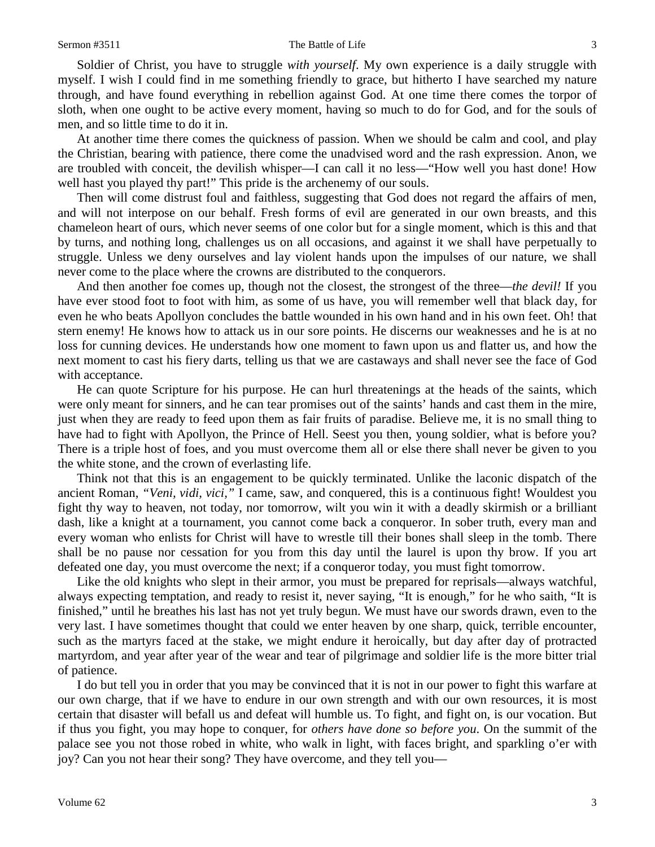#### Sermon #3511 The Battle of Life 3

Soldier of Christ, you have to struggle *with yourself*. My own experience is a daily struggle with myself. I wish I could find in me something friendly to grace, but hitherto I have searched my nature through, and have found everything in rebellion against God. At one time there comes the torpor of sloth, when one ought to be active every moment, having so much to do for God, and for the souls of men, and so little time to do it in.

At another time there comes the quickness of passion. When we should be calm and cool, and play the Christian, bearing with patience, there come the unadvised word and the rash expression. Anon, we are troubled with conceit, the devilish whisper—I can call it no less—"How well you hast done! How well hast you played thy part!" This pride is the archenemy of our souls.

Then will come distrust foul and faithless, suggesting that God does not regard the affairs of men, and will not interpose on our behalf. Fresh forms of evil are generated in our own breasts, and this chameleon heart of ours, which never seems of one color but for a single moment, which is this and that by turns, and nothing long, challenges us on all occasions, and against it we shall have perpetually to struggle. Unless we deny ourselves and lay violent hands upon the impulses of our nature, we shall never come to the place where the crowns are distributed to the conquerors.

And then another foe comes up, though not the closest, the strongest of the three—*the devil!* If you have ever stood foot to foot with him, as some of us have, you will remember well that black day, for even he who beats Apollyon concludes the battle wounded in his own hand and in his own feet. Oh! that stern enemy! He knows how to attack us in our sore points. He discerns our weaknesses and he is at no loss for cunning devices. He understands how one moment to fawn upon us and flatter us, and how the next moment to cast his fiery darts, telling us that we are castaways and shall never see the face of God with acceptance.

He can quote Scripture for his purpose. He can hurl threatenings at the heads of the saints, which were only meant for sinners, and he can tear promises out of the saints' hands and cast them in the mire, just when they are ready to feed upon them as fair fruits of paradise. Believe me, it is no small thing to have had to fight with Apollyon, the Prince of Hell. Seest you then, young soldier, what is before you? There is a triple host of foes, and you must overcome them all or else there shall never be given to you the white stone, and the crown of everlasting life.

Think not that this is an engagement to be quickly terminated. Unlike the laconic dispatch of the ancient Roman, *"Veni, vidi, vici,"* I came, saw, and conquered, this is a continuous fight! Wouldest you fight thy way to heaven, not today, nor tomorrow, wilt you win it with a deadly skirmish or a brilliant dash, like a knight at a tournament, you cannot come back a conqueror. In sober truth, every man and every woman who enlists for Christ will have to wrestle till their bones shall sleep in the tomb. There shall be no pause nor cessation for you from this day until the laurel is upon thy brow. If you art defeated one day, you must overcome the next; if a conqueror today, you must fight tomorrow.

Like the old knights who slept in their armor, you must be prepared for reprisals—always watchful, always expecting temptation, and ready to resist it, never saying, "It is enough," for he who saith, "It is finished," until he breathes his last has not yet truly begun. We must have our swords drawn, even to the very last. I have sometimes thought that could we enter heaven by one sharp, quick, terrible encounter, such as the martyrs faced at the stake, we might endure it heroically, but day after day of protracted martyrdom, and year after year of the wear and tear of pilgrimage and soldier life is the more bitter trial of patience.

I do but tell you in order that you may be convinced that it is not in our power to fight this warfare at our own charge, that if we have to endure in our own strength and with our own resources, it is most certain that disaster will befall us and defeat will humble us. To fight, and fight on, is our vocation. But if thus you fight, you may hope to conquer, for *others have done so before you*. On the summit of the palace see you not those robed in white, who walk in light, with faces bright, and sparkling o'er with joy? Can you not hear their song? They have overcome, and they tell you—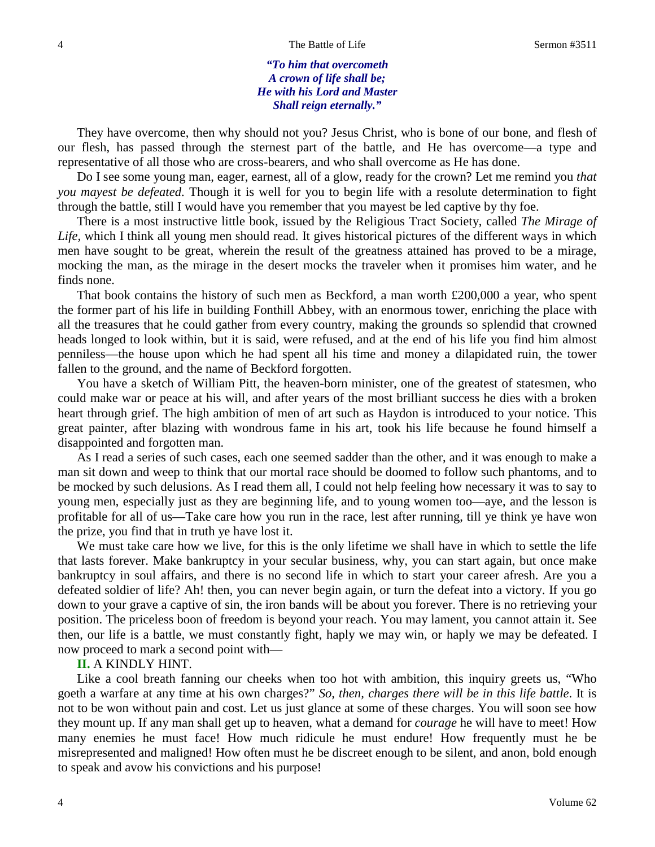*"To him that overcometh A crown of life shall be; He with his Lord and Master Shall reign eternally."*

They have overcome, then why should not you? Jesus Christ, who is bone of our bone, and flesh of our flesh, has passed through the sternest part of the battle, and He has overcome—a type and representative of all those who are cross-bearers, and who shall overcome as He has done.

Do I see some young man, eager, earnest, all of a glow, ready for the crown? Let me remind you *that you mayest be defeated*. Though it is well for you to begin life with a resolute determination to fight through the battle, still I would have you remember that you mayest be led captive by thy foe.

There is a most instructive little book, issued by the Religious Tract Society, called *The Mirage of Life,* which I think all young men should read. It gives historical pictures of the different ways in which men have sought to be great, wherein the result of the greatness attained has proved to be a mirage, mocking the man, as the mirage in the desert mocks the traveler when it promises him water, and he finds none.

That book contains the history of such men as Beckford, a man worth £200,000 a year, who spent the former part of his life in building Fonthill Abbey, with an enormous tower, enriching the place with all the treasures that he could gather from every country, making the grounds so splendid that crowned heads longed to look within, but it is said, were refused, and at the end of his life you find him almost penniless—the house upon which he had spent all his time and money a dilapidated ruin, the tower fallen to the ground, and the name of Beckford forgotten.

You have a sketch of William Pitt, the heaven-born minister, one of the greatest of statesmen, who could make war or peace at his will, and after years of the most brilliant success he dies with a broken heart through grief. The high ambition of men of art such as Haydon is introduced to your notice. This great painter, after blazing with wondrous fame in his art, took his life because he found himself a disappointed and forgotten man.

As I read a series of such cases, each one seemed sadder than the other, and it was enough to make a man sit down and weep to think that our mortal race should be doomed to follow such phantoms, and to be mocked by such delusions. As I read them all, I could not help feeling how necessary it was to say to young men, especially just as they are beginning life, and to young women too—aye, and the lesson is profitable for all of us—Take care how you run in the race, lest after running, till ye think ye have won the prize, you find that in truth ye have lost it.

We must take care how we live, for this is the only lifetime we shall have in which to settle the life that lasts forever. Make bankruptcy in your secular business, why, you can start again, but once make bankruptcy in soul affairs, and there is no second life in which to start your career afresh. Are you a defeated soldier of life? Ah! then, you can never begin again, or turn the defeat into a victory. If you go down to your grave a captive of sin, the iron bands will be about you forever. There is no retrieving your position. The priceless boon of freedom is beyond your reach. You may lament, you cannot attain it. See then, our life is a battle, we must constantly fight, haply we may win, or haply we may be defeated. I now proceed to mark a second point with—

## **II.** A KINDLY HINT.

Like a cool breath fanning our cheeks when too hot with ambition, this inquiry greets us, "Who goeth a warfare at any time at his own charges?" *So, then, charges there will be in this life battle*. It is not to be won without pain and cost. Let us just glance at some of these charges. You will soon see how they mount up. If any man shall get up to heaven, what a demand for *courage* he will have to meet! How many enemies he must face! How much ridicule he must endure! How frequently must he be misrepresented and maligned! How often must he be discreet enough to be silent, and anon, bold enough to speak and avow his convictions and his purpose!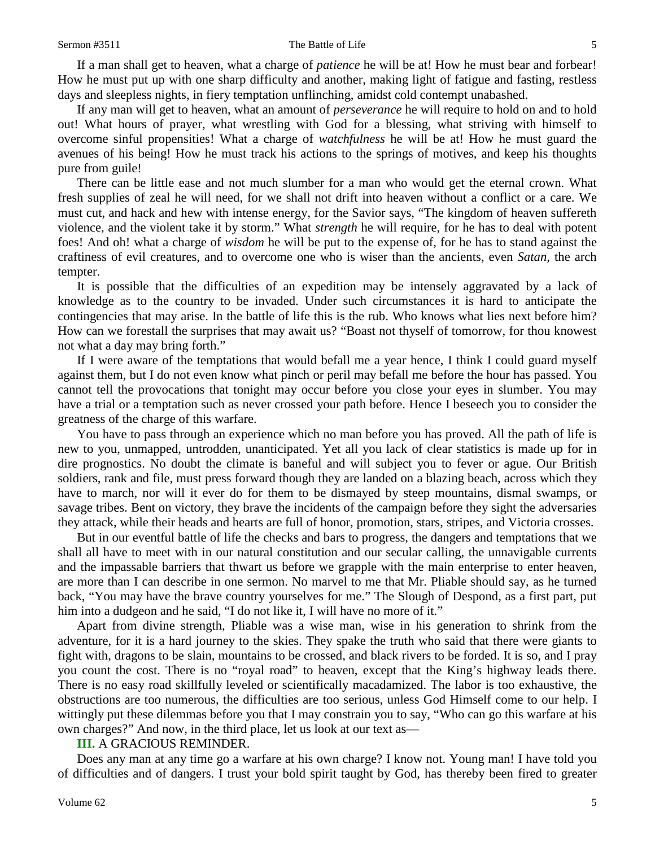If a man shall get to heaven, what a charge of *patience* he will be at! How he must bear and forbear! How he must put up with one sharp difficulty and another, making light of fatigue and fasting, restless days and sleepless nights, in fiery temptation unflinching, amidst cold contempt unabashed.

If any man will get to heaven, what an amount of *perseverance* he will require to hold on and to hold out! What hours of prayer, what wrestling with God for a blessing, what striving with himself to overcome sinful propensities! What a charge of *watchfulness* he will be at! How he must guard the avenues of his being! How he must track his actions to the springs of motives, and keep his thoughts pure from guile!

There can be little ease and not much slumber for a man who would get the eternal crown. What fresh supplies of zeal he will need, for we shall not drift into heaven without a conflict or a care. We must cut, and hack and hew with intense energy, for the Savior says, "The kingdom of heaven suffereth violence, and the violent take it by storm." What *strength* he will require, for he has to deal with potent foes! And oh! what a charge of *wisdom* he will be put to the expense of, for he has to stand against the craftiness of evil creatures, and to overcome one who is wiser than the ancients, even *Satan,* the arch tempter.

It is possible that the difficulties of an expedition may be intensely aggravated by a lack of knowledge as to the country to be invaded. Under such circumstances it is hard to anticipate the contingencies that may arise. In the battle of life this is the rub. Who knows what lies next before him? How can we forestall the surprises that may await us? "Boast not thyself of tomorrow, for thou knowest not what a day may bring forth."

If I were aware of the temptations that would befall me a year hence, I think I could guard myself against them, but I do not even know what pinch or peril may befall me before the hour has passed. You cannot tell the provocations that tonight may occur before you close your eyes in slumber. You may have a trial or a temptation such as never crossed your path before. Hence I beseech you to consider the greatness of the charge of this warfare.

You have to pass through an experience which no man before you has proved. All the path of life is new to you, unmapped, untrodden, unanticipated. Yet all you lack of clear statistics is made up for in dire prognostics. No doubt the climate is baneful and will subject you to fever or ague. Our British soldiers, rank and file, must press forward though they are landed on a blazing beach, across which they have to march, nor will it ever do for them to be dismayed by steep mountains, dismal swamps, or savage tribes. Bent on victory, they brave the incidents of the campaign before they sight the adversaries they attack, while their heads and hearts are full of honor, promotion, stars, stripes, and Victoria crosses.

But in our eventful battle of life the checks and bars to progress, the dangers and temptations that we shall all have to meet with in our natural constitution and our secular calling, the unnavigable currents and the impassable barriers that thwart us before we grapple with the main enterprise to enter heaven, are more than I can describe in one sermon. No marvel to me that Mr. Pliable should say, as he turned back, "You may have the brave country yourselves for me." The Slough of Despond, as a first part, put him into a dudgeon and he said, "I do not like it, I will have no more of it."

Apart from divine strength, Pliable was a wise man, wise in his generation to shrink from the adventure, for it is a hard journey to the skies. They spake the truth who said that there were giants to fight with, dragons to be slain, mountains to be crossed, and black rivers to be forded. It is so, and I pray you count the cost. There is no "royal road" to heaven, except that the King's highway leads there. There is no easy road skillfully leveled or scientifically macadamized. The labor is too exhaustive, the obstructions are too numerous, the difficulties are too serious, unless God Himself come to our help. I wittingly put these dilemmas before you that I may constrain you to say, "Who can go this warfare at his own charges?" And now, in the third place, let us look at our text as—

#### **III.** A GRACIOUS REMINDER.

Does any man at any time go a warfare at his own charge? I know not. Young man! I have told you of difficulties and of dangers. I trust your bold spirit taught by God, has thereby been fired to greater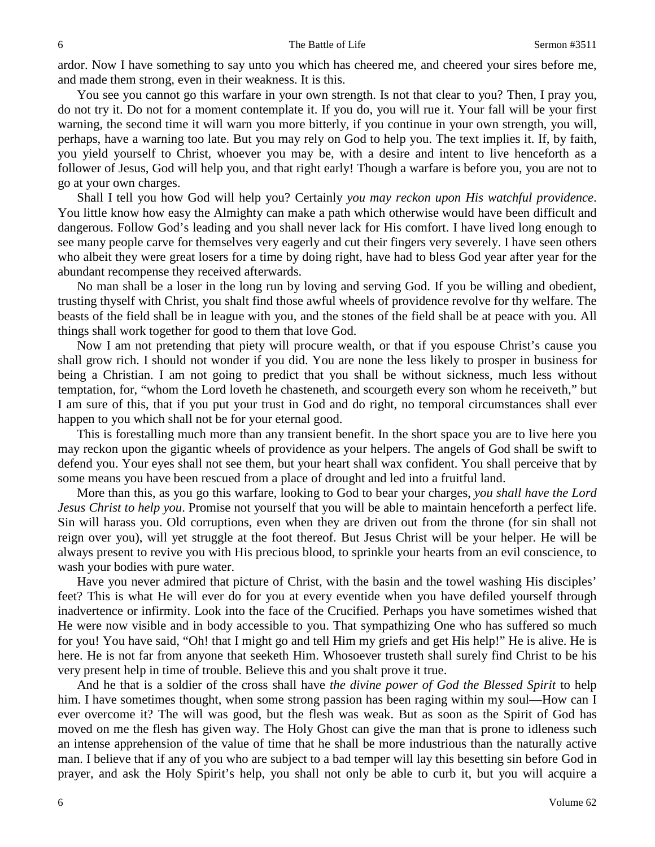ardor. Now I have something to say unto you which has cheered me, and cheered your sires before me, and made them strong, even in their weakness. It is this.

You see you cannot go this warfare in your own strength. Is not that clear to you? Then, I pray you, do not try it. Do not for a moment contemplate it. If you do, you will rue it. Your fall will be your first warning, the second time it will warn you more bitterly, if you continue in your own strength, you will, perhaps, have a warning too late. But you may rely on God to help you. The text implies it. If, by faith, you yield yourself to Christ, whoever you may be, with a desire and intent to live henceforth as a follower of Jesus, God will help you, and that right early! Though a warfare is before you, you are not to go at your own charges.

Shall I tell you how God will help you? Certainly *you may reckon upon His watchful providence*. You little know how easy the Almighty can make a path which otherwise would have been difficult and dangerous. Follow God's leading and you shall never lack for His comfort. I have lived long enough to see many people carve for themselves very eagerly and cut their fingers very severely. I have seen others who albeit they were great losers for a time by doing right, have had to bless God year after year for the abundant recompense they received afterwards.

No man shall be a loser in the long run by loving and serving God. If you be willing and obedient, trusting thyself with Christ, you shalt find those awful wheels of providence revolve for thy welfare. The beasts of the field shall be in league with you, and the stones of the field shall be at peace with you. All things shall work together for good to them that love God.

Now I am not pretending that piety will procure wealth, or that if you espouse Christ's cause you shall grow rich. I should not wonder if you did. You are none the less likely to prosper in business for being a Christian. I am not going to predict that you shall be without sickness, much less without temptation, for, "whom the Lord loveth he chasteneth, and scourgeth every son whom he receiveth," but I am sure of this, that if you put your trust in God and do right, no temporal circumstances shall ever happen to you which shall not be for your eternal good.

This is forestalling much more than any transient benefit. In the short space you are to live here you may reckon upon the gigantic wheels of providence as your helpers. The angels of God shall be swift to defend you. Your eyes shall not see them, but your heart shall wax confident. You shall perceive that by some means you have been rescued from a place of drought and led into a fruitful land.

More than this, as you go this warfare, looking to God to bear your charges, *you shall have the Lord Jesus Christ to help you*. Promise not yourself that you will be able to maintain henceforth a perfect life. Sin will harass you. Old corruptions, even when they are driven out from the throne (for sin shall not reign over you), will yet struggle at the foot thereof. But Jesus Christ will be your helper. He will be always present to revive you with His precious blood, to sprinkle your hearts from an evil conscience, to wash your bodies with pure water.

Have you never admired that picture of Christ, with the basin and the towel washing His disciples' feet? This is what He will ever do for you at every eventide when you have defiled yourself through inadvertence or infirmity. Look into the face of the Crucified. Perhaps you have sometimes wished that He were now visible and in body accessible to you. That sympathizing One who has suffered so much for you! You have said, "Oh! that I might go and tell Him my griefs and get His help!" He is alive. He is here. He is not far from anyone that seeketh Him. Whosoever trusteth shall surely find Christ to be his very present help in time of trouble. Believe this and you shalt prove it true.

And he that is a soldier of the cross shall have *the divine power of God the Blessed Spirit* to help him. I have sometimes thought, when some strong passion has been raging within my soul—How can I ever overcome it? The will was good, but the flesh was weak. But as soon as the Spirit of God has moved on me the flesh has given way. The Holy Ghost can give the man that is prone to idleness such an intense apprehension of the value of time that he shall be more industrious than the naturally active man. I believe that if any of you who are subject to a bad temper will lay this besetting sin before God in prayer, and ask the Holy Spirit's help, you shall not only be able to curb it, but you will acquire a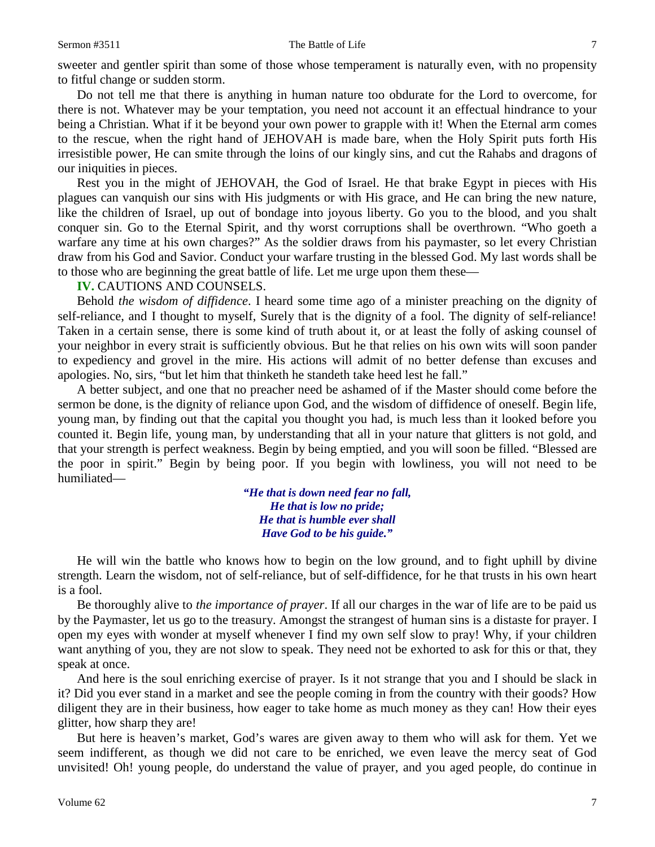sweeter and gentler spirit than some of those whose temperament is naturally even, with no propensity to fitful change or sudden storm.

Do not tell me that there is anything in human nature too obdurate for the Lord to overcome, for there is not. Whatever may be your temptation, you need not account it an effectual hindrance to your being a Christian. What if it be beyond your own power to grapple with it! When the Eternal arm comes to the rescue, when the right hand of JEHOVAH is made bare, when the Holy Spirit puts forth His irresistible power, He can smite through the loins of our kingly sins, and cut the Rahabs and dragons of our iniquities in pieces.

Rest you in the might of JEHOVAH, the God of Israel. He that brake Egypt in pieces with His plagues can vanquish our sins with His judgments or with His grace, and He can bring the new nature, like the children of Israel, up out of bondage into joyous liberty. Go you to the blood, and you shalt conquer sin. Go to the Eternal Spirit, and thy worst corruptions shall be overthrown. "Who goeth a warfare any time at his own charges?" As the soldier draws from his paymaster, so let every Christian draw from his God and Savior. Conduct your warfare trusting in the blessed God. My last words shall be to those who are beginning the great battle of life. Let me urge upon them these—

**IV.** CAUTIONS AND COUNSELS.

Behold *the wisdom of diffidence*. I heard some time ago of a minister preaching on the dignity of self-reliance, and I thought to myself, Surely that is the dignity of a fool. The dignity of self-reliance! Taken in a certain sense, there is some kind of truth about it, or at least the folly of asking counsel of your neighbor in every strait is sufficiently obvious. But he that relies on his own wits will soon pander to expediency and grovel in the mire. His actions will admit of no better defense than excuses and apologies. No, sirs, "but let him that thinketh he standeth take heed lest he fall."

A better subject, and one that no preacher need be ashamed of if the Master should come before the sermon be done, is the dignity of reliance upon God, and the wisdom of diffidence of oneself. Begin life, young man, by finding out that the capital you thought you had, is much less than it looked before you counted it. Begin life, young man, by understanding that all in your nature that glitters is not gold, and that your strength is perfect weakness. Begin by being emptied, and you will soon be filled. "Blessed are the poor in spirit." Begin by being poor. If you begin with lowliness, you will not need to be humiliated—

> *"He that is down need fear no fall, He that is low no pride; He that is humble ever shall Have God to be his guide."*

He will win the battle who knows how to begin on the low ground, and to fight uphill by divine strength. Learn the wisdom, not of self-reliance, but of self-diffidence, for he that trusts in his own heart is a fool.

Be thoroughly alive to *the importance of prayer*. If all our charges in the war of life are to be paid us by the Paymaster, let us go to the treasury. Amongst the strangest of human sins is a distaste for prayer. I open my eyes with wonder at myself whenever I find my own self slow to pray! Why, if your children want anything of you, they are not slow to speak. They need not be exhorted to ask for this or that, they speak at once.

And here is the soul enriching exercise of prayer. Is it not strange that you and I should be slack in it? Did you ever stand in a market and see the people coming in from the country with their goods? How diligent they are in their business, how eager to take home as much money as they can! How their eyes glitter, how sharp they are!

But here is heaven's market, God's wares are given away to them who will ask for them. Yet we seem indifferent, as though we did not care to be enriched, we even leave the mercy seat of God unvisited! Oh! young people, do understand the value of prayer, and you aged people, do continue in